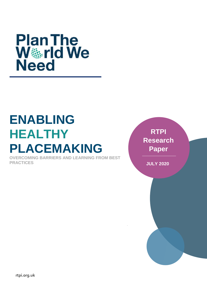

# **ENABLING HEALTHY PLACEMAKING**

**OVERCOMING BARRIERS AND LEARNING FROM BEST PRACTICES**

**RTPI Research Paper**

**JULY 2020**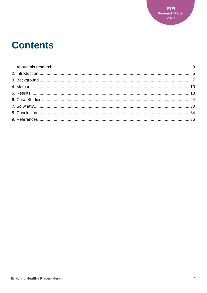## **Contents**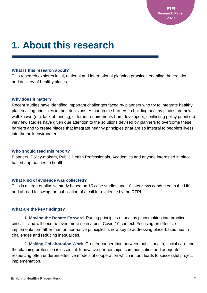**RTPI Research Paper** 2020

## <span id="page-2-0"></span>**1. About this research**

#### **What is this research about?**

This research explores local, national and international planning practices enabling the creation and delivery of healthy places.

### **Why does it matter?**

Recent studies have identified important challenges faced by planners who try to integrate healthy placemaking principles in their decisions. Although the barriers to building healthy places are now well-known (e.g. lack of funding; different requirements from developers; conflicting policy priorities) very few studies have given due attention to the solutions devised by planners to overcome these barriers and to create places that integrate healthy principles (that are so integral to people's lives) into the built environment.

### **Who should read this report?**

Planners, Policy-makers, Public Health Professionals, Academics and anyone interested in place based approaches to health.

### **What kind of evidence was collected?**

This is a large qualitative study based on 15 case studies and 10 interviews conducted in the UK and abroad following the publication of a call for evidence by the RTPI.

### **What are the key findings?**

**1. Moving the Debate Forward**. Putting principles of healthy placemaking into practice is critical – and will become even more so in a post Covid-19 context. Focusing on effective implementation rather than on normative principles is now key to addressing place-based health challenges and reducing inequalities.

**2. Making Collaboration Work.** Greater cooperation between public health, social care and the planning profession is essential. Innovative partnerships, communication and adequate resourcing often underpin effective models of cooperation which in turn leads to successful project implementation.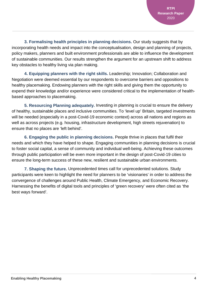**3. Formalising health principles in planning decisions.** Our study suggests that by incorporating health needs and impact into the conceptualisation, design and planning of projects, policy makers, planners and built environment professionals are able to influence the development of sustainable communities. Our results strengthen the argument for an upstream shift to address key obstacles to healthy living via plan making.

**4. Equipping planners with the right skills.** Leadership; Innovation; Collaboration and Negotiation were deemed essential by our respondents to overcome barriers and oppositions to healthy placemaking. Endowing planners with the right skills and giving them the opportunity to expend their knowledge and/or experience were considered critical to the implementation of healthbased approaches to placemaking.

**5. Resourcing Planning adequately.** Investing in planning is crucial to ensure the delivery of healthy, sustainable places and inclusive communities. To 'level up' Britain, targeted investments will be needed (especially in a post-Covid-19 economic context) across all nations and regions as well as across projects (e.g. housing, infrastructure development, high streets rejuvenation) to ensure that no places are 'left behind'.

**6. Engaging the public in planning decisions.** People thrive in places that fulfil their needs and which they have helped to shape. Engaging communities in planning decisions is crucial to foster social capital, a sense of community and individual well-being. Achieving these outcomes through public participation will be even more important in the design of post-Covid-19 cities to ensure the long-term success of these new, resilient and sustainable urban environments.

**7. Shaping the future.** Unprecedented times call for unprecedented solutions. Study participants were keen to highlight the need for planners to be 'visionaries' in order to address the convergence of challenges around Public Health, Climate Emergency, and Economic Recovery. Harnessing the benefits of digital tools and principles of 'green recovery' were often cited as 'the best ways forward'.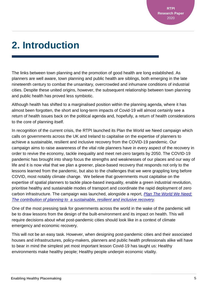## <span id="page-4-0"></span>**2. Introduction**

The links between town planning and the promotion of good health are long established. As planners are well aware, town planning and public health are siblings, both emerging in the late nineteenth century to combat the unsanitary, overcrowded and inhumane conditions of industrial cities. Despite these united origins, however, the subsequent relationship between town planning and public health has proved less symbiotic.

Although health has shifted to a marginalised position within the planning agenda, where it has almost been forgotten, the short and long-term impacts of Covid-19 will almost certainly see a return of health issues back on the political agenda and, hopefully, a return of health considerations to the core of planning itself.

In recognition of the current crisis, the RTPI launched its Plan the World we Need campaign which calls on governments across the UK and Ireland to capitalise on the expertise of planners to achieve a sustainable, resilient and inclusive recovery from the COVID-19 pandemic. Our campaign aims to raise awareness of the vital role planners have in every aspect of the recovery in order to revive the economy, tackle inequality and meet net-zero targets by 2050. The COVID-19 pandemic has brought into sharp focus the strengths and weaknesses of our places and our way of life and it is now vital that we plan a greener, place-based recovery that responds not only to the lessons learned from the pandemic, but also to the challenges that we were grappling long before COVID, most notably climate change. We believe that governments must capitalise on the expertise of spatial planners to tackle place-based inequality, enable a green industrial revolution, prioritise healthy and sustainable modes of transport and coordinate the rapid deployment of zero carbon infrastructure. The campaign was launched, alongside a report, *[Plan The World We Need:](https://www.rtpi.org.uk/research/2020/june/plan-the-world-we-need/)  The contribution of planning to [a sustainable, resilient and inclusive recovery.](https://www.rtpi.org.uk/research/2020/june/plan-the-world-we-need/)*

One of the most pressing task for governments across the world in the wake of the pandemic will be to draw lessons from the design of the built-environment and its impact on health. This will require decisions about what post-pandemic cities should look like in a context of climate emergency and economic recovery.

This will not be an easy task. However, when designing post-pandemic cities and their associated houses and infrastructures, policy-makers, planners and public health professionals alike will have to bear in mind the simplest yet most important lesson Covid-19 has taught us: Healthy environments make healthy people; Healthy people underpin economic vitality.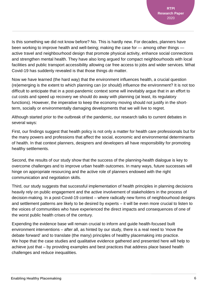Is this something we did not know before? No. This is hardly new. For decades, planners have been working to improve health and well-being; making the case for — among other things active travel and neighbourhood design that promote physical activity, enhance social connections and strengthen mental health. They have also long argued for compact neighbourhoods with local facilities and public transport accessibility allowing car free access to jobs and wider services. What Covid-19 has suddenly revealed is that those things *do* matter.

Now we have learned (the hard way) that the environment influences health, a crucial question (re)emerging is the extent to which planning can (or should) influence the environment? It is not too difficult to anticipate that in a post-pandemic context some will inevitably argue that in an effort to cut costs and speed up recovery we should do away with planning (at least, its regulatory functions). However, the imperative to keep the economy moving should not justify in the shortterm, socially or environmentally damaging developments that we will live to regret.

Although started prior to the outbreak of the pandemic, our research talks to current debates in several ways:

First, our findings suggest that health policy is not only a matter for health care professionals but for the many powers and professions that affect the social, economic and environmental determinants of health. In that context planners, designers and developers all have responsibility for promoting healthy settlements.

Second, the results of our study show that the success of the planning-health dialogue is key to overcome challenges and to improve urban health outcomes. In many ways, future successes will hinge on appropriate resourcing and the active role of planners endowed with the right communication and negotiation skills.

Third, our study suggests that successful implementation of health principles in planning decisions heavily rely on public engagement and the active involvement of stakeholders in the process of decision-making. In a post-Covid-19 context – where radically new forms of neighbourhood designs and settlement patterns are likely to be desired by experts – it will be even more crucial to listen to the voices of communities who have experienced the direct impacts and consequences of one of the worst public health crises of the century.

Expending the evidence base will remain crucial to inform and guide health-focused built environment interventions – after all, as hinted by our study, there is a real need to 'move the debate forward' and to translate (the many) principles of healthy placemaking into practice. We hope that the case studies and qualitative evidence gathered and presented here will help to achieve just that – by providing examples and best practices that address place based health challenges and reduce inequalities.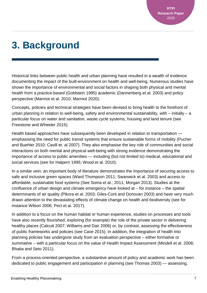## <span id="page-6-0"></span>**3. Background**

Historical links between public health and urban planning have resulted in a wealth of evidence documenting the impact of the built-environment on health and well-being. Numerous studies have shown the importance of environmental and social factors in shaping both physical and mental health from a practice-based (Goldstein 1995) academic (Dannenberg et al. 2003) and policy perspective (Marmot et al. 2010; Marmot 2020).

Concepts, policies and technical strategies have been devised to bring health to the forefront of urban planning in relation to well-being, safety and environmental sustainability, with – initially – a particular focus on water and sanitation, waste cycle systems, housing and land tenure (see Freestone and Wheeler 2015).

Health based approaches have subsequently been developed in relation to transportation emphasising the need for public transit systems that ensure sustainable forms of mobility (Pucher and Buehler 2010; Cavill et. al 2007). They also emphasise the key role of communities and social interactions on both mental and physical well-being with strong evidence demonstrating the importance of access to public amenities — including (but not limited to) medical, educational and social services (see for Halpern 1995; Wood et al. 2010).

In a similar vein, an important body of literature demonstrates the importance of securing access to safe and inclusive green spaces (Ward Thompson 2011; Swanwick et al. 2003) and access to affordable, sustainable food systems (See Soma et al.; 2011; Morgan 2013). Studies at the confluence of urban design and climate emergency have looked at – for instance – the spatial determinants of air quality (Pikora et al. 2003; Giles-Corti and Donovan 2003) and have very much drawn attention to the devastating effects of climate change on health and biodiversity (see for instance Wilson 2006; Pecl et al. 2017).

In addition to a focus on the human habitat or human experience, studies on processes and tools have also recently flourished, exploring (for example) the role of the private sector in delivering healthy places (Calcutt 2007; Williams and Dair 2006) or, by contrast, assessing the effectiveness of public frameworks and policies (see Cave 2015). In addition, the integration of health into planning policies has undergone study from an evaluation perspective – either formative or summative – with a particular focus on the value of Health Impact Assessment (Mindell et al. 2008; Bhatia and Seto 2011).

From a process-oriented perspective, a substantive amount of policy and academic work has been dedicated to public engagement and participation in planning (see Thomas 2003) — assessing,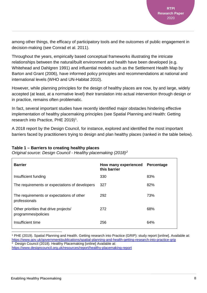among other things, the efficacy of participatory tools and the outcomes of public engagement in decision-making (see Conrad et al. 2011).

Throughout the years, empirically based conceptual frameworks illustrating the intricate relationships between the natural/built environment and health have been developed (e.g. Whitehead and Dahlgren 1991) and influential models such as the Settlement Health Map by Barton and Grant (2006), have informed policy principles and recommendations at national and international levels (WHO and UN-Habitat 2010).

However, while planning principles for the design of healthy places are now, by and large, widely accepted (at least, at a normative level) their translation into actual intervention through design or in practice, remains often problematic.

In fact, several important studies have recently identified major obstacles hindering effective implementation of healthy placemaking principles (see Spatial Planning and Health: Getting research into Practice, PHE 20[1](#page-7-0)9)<sup>1</sup>.

A 2018 report by the Design Council, for instance, explored and identified the most important barriers faced by practitioners trying to design and plan healthy places (ranked in the table below).

| Table 1 – Barriers to creating healthy places |  |  |  |
|-----------------------------------------------|--|--|--|
|-----------------------------------------------|--|--|--|

*Original source: Design Council - Healthy placemaking (2018)[2](#page-7-1)*

| <b>Barrier</b>                                               | How many experienced<br>this barrier | Percentage |
|--------------------------------------------------------------|--------------------------------------|------------|
| Insufficient funding                                         | 330                                  | 83%        |
| The requirements or expectations of developers               | 327                                  | 82%        |
| The requirements or expectations of other<br>professionals   | 292                                  | 73%        |
| Other priorities that drive projects/<br>programmes/policies | 272                                  | 68%        |
| Insufficient time                                            | 256                                  | 64%        |

<span id="page-7-1"></span><span id="page-7-0"></span> <sup>1</sup> PHE (2019). Spatial Planning and Health. Getting research into Practice (GRIP): study report [online]. Available at: <https://www.gov.uk/government/publications/spatial-planning-and-health-getting-research-into-practice-grip> <sup>2</sup> Design Council (2018). Healthy Placemaking [online] Available at: <https://www.designcouncil.org.uk/resources/report/healthy-placemaking-report>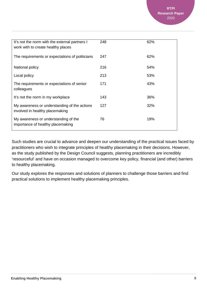| It's not the norm with the external partners I<br>work with to create healthy places | 248 | 62% |
|--------------------------------------------------------------------------------------|-----|-----|
| The requirements or expectations of politicians                                      | 247 | 62% |
| National policy                                                                      | 216 | 54% |
| Local policy                                                                         | 213 | 53% |
| The requirements or expectations of senior<br>colleagues                             | 171 | 43% |
| It's not the norm in my workplace                                                    | 143 | 36% |
| My awareness or understanding of the actions<br>involved in healthy placemaking      | 127 | 32% |
| My awareness or understanding of the<br>importance of healthy placemaking            | 76  | 19% |
|                                                                                      |     |     |

Such studies are crucial to advance and deepen our understanding of the practical issues faced by practitioners who wish to integrate principles of healthy placemaking in their decisions. However, as the study published by the Design Council suggests, planning practitioners are incredibly 'resourceful' and have on occasion managed to overcome key policy, financial (and other) barriers to healthy placemaking.

Our study explores the responses and solutions of planners to challenge those barriers and find practical solutions to implement healthy placemaking principles.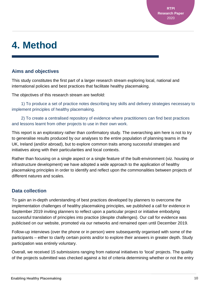## <span id="page-9-0"></span>**4. Method**

### **Aims and objectives**

This study constitutes the first part of a larger research stream exploring local, national and international policies and best practices that facilitate healthy placemaking.

The objectives of this research stream are twofold:

 1) To produce a set of practice notes describing key skills and delivery strategies necessary to implement principles of healthy placemaking.

 2) To create a centralised repository of evidence where practitioners can find best practices and lessons learnt from other projects to use in their own work.

This report is an exploratory rather than confirmatory study. The overarching aim here is not to try to generalise results produced by our analyses to the entire population of planning teams in the UK, Ireland (and/or abroad), but to explore common traits among successful strategies and initiatives along with their particularities and local contexts.

Rather than focusing on a single aspect or a single feature of the built-environment (viz. housing or infrastructure development) we have adopted a wide approach to the application of healthy placemaking principles in order to identify and reflect upon the commonalities between projects of different natures and scales.

### **Data collection**

To gain an in-depth understanding of best practices developed by planners to overcome the implementation challenges of healthy placemaking principles, we published a call for evidence in September 2019 inviting planners to reflect upon a particular project or initiative embodying successful translation of principles into practice (despite challenges). Our call for evidence was publicised on our website, promoted via our networks and remained open until December 2019.

Follow-up interviews (over the phone or in person) were subsequently organised with some of the participants – either to clarify certain points and/or to explore their answers in greater depth. Study participation was entirely voluntary.

Overall, we received 15 submissions ranging from national initiatives to 'local' projects. The quality of the projects submitted was checked against a list of criteria determining whether or not the entry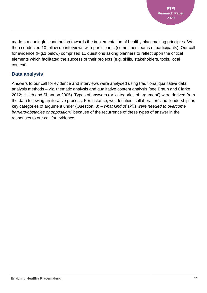made a meaningful contribution towards the implementation of healthy placemaking principles. We then conducted 10 follow up interviews with participants (sometimes teams of participants). Our call for evidence (Fig.1 below) comprised 11 questions asking planners to reflect upon the critical elements which facilitated the success of their projects (e.g. skills, stakeholders, tools, local context).

### **Data analysis**

Answers to our call for evidence and interviews were analysed using traditional qualitative data analysis methods – viz. thematic analysis and qualitative content analysis (see Braun and Clarke 2012; Hsieh and Shannon 2005). Types of answers (or 'categories of argument') were derived from the data following an iterative process. For instance, we identified 'collaboration' and 'leadership' as key categories of argument under (Question. 3) – *what kind of skills were needed to overcome barriers/obstacles or opposition?* because of the recurrence of these types of answer in the responses to our call for evidence.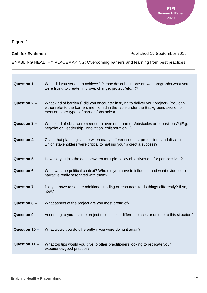### **Figure 1 –**

**Call for Evidence Call for Evidence Published 19 September 2019** 

ENABLING HEALTHY PLACEMAKING: Overcoming barriers and learning from best practices

| Question 1-    | What did you set out to achieve? Please describe in one or two paragraphs what you<br>were trying to create, improve, change, protect (etc)?                                                                                |
|----------------|-----------------------------------------------------------------------------------------------------------------------------------------------------------------------------------------------------------------------------|
| Question $2 -$ | What kind of barrier(s) did you encounter in trying to deliver your project? (You can<br>either refer to the barriers mentioned in the table under the Background section or<br>mention other types of barriers/obstacles). |
| Question 3-    | What kind of skills were needed to overcome barriers/obstacles or oppositions? (E.g.<br>negotiation, leadership, innovation, collaboration).                                                                                |
| Question 4 -   | Given that planning sits between many different sectors, professions and disciplines,<br>which stakeholders were critical to making your project a success?                                                                 |
| Question 5-    | How did you join the dots between multiple policy objectives and/or perspectives?                                                                                                                                           |
| Question 6-    | What was the political context? Who did you have to influence and what evidence or<br>narrative really resonated with them?                                                                                                 |
| Question 7 -   | Did you have to secure additional funding or resources to do things differently? If so,<br>how?                                                                                                                             |
| Question $8 -$ | What aspect of the project are you most proud of?                                                                                                                                                                           |
| Question 9-    | According to you – is the project replicable in different places or unique to this situation?                                                                                                                               |
| Question 10 -  | What would you do differently if you were doing it again?                                                                                                                                                                   |
| Question 11 -  | What top tips would you give to other practitioners looking to replicate your<br>experience/good practice?                                                                                                                  |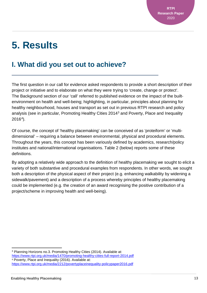## <span id="page-12-0"></span>**5. Results**

## **I. What did you set out to achieve?**

The first question in our call for evidence asked respondents to provide a short description of their project or initiative and to elaborate on what they were trying to 'create, change or protect'. The Background section of our 'call' referred to published evidence on the impact of the builtenvironment on health and well-being; highlighting, in particular, principles about planning for healthy neighbourhood, houses and transport as set out in previous RTPI research and policy analysis (see in particular, Promoting Healthy Cities 2014[3](#page-12-1) and Poverty, Place and Inequality 2016[4\)](#page-12-2).

Of course, the concept of 'healthy placemaking' can be conceived of as 'proteiform' or 'multidimensional' – requiring a balance between environmental, physical and procedural elements. Throughout the years, this concept has been variously defined by academics, research/policy institutes and national/international organisations. Table 2 (below) reports some of these definitions.

By adopting a relatively wide approach to the definition of healthy placemaking we sought to elicit a variety of both substantive and procedural examples from respondents. In other words, we sought both a description of the physical aspect of their project (e.g. enhancing walkability by widening a sidewalk/pavement) and a description of a process whereby principles of healthy placemaking could be implemented (e.g. the creation of an award recognising the positive contribution of a project/scheme in improving health and well-being).

<span id="page-12-1"></span><sup>3</sup> Planning Horizons no.3. Promoting Healthy Cities (2014). Available at: <https://www.rtpi.org.uk/media/1470/promoting-healthy-cities-full-report-2014.pdf> <sup>4</sup> Poverty, Place and Inequality (2016). Available at:

<span id="page-12-2"></span><https://www.rtpi.org.uk/media/2212/povertyplaceinequality-policypaper2016.pdf>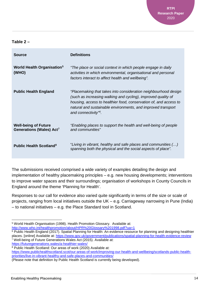### **Table 2 –**

| <b>Source</b>                                                       | <b>Definitions</b>                                                                                                                                                                                                                                                                                        |
|---------------------------------------------------------------------|-----------------------------------------------------------------------------------------------------------------------------------------------------------------------------------------------------------------------------------------------------------------------------------------------------------|
| <b>World Health Organisation</b> <sup>5</sup><br>(WHO)              | "The place or social context in which people engage in daily<br>activities in which environmental, organisational and personal<br>factors interact to affect health and wellbeing".                                                                                                                       |
| <b>Public Health England</b>                                        | "Placemaking that takes into consideration neighbourhood design<br>(such as increasing walking and cycling), improved quality of<br>housing, access to healthier food, conservation of, and access to<br>natural and sustainable environments, and improved transport<br>and connectivity" <sup>6</sup> . |
| <b>Well-being of Future</b><br>Generations (Wales) Act <sup>7</sup> | "Enabling places to support the health and well-being of people<br>and communities"                                                                                                                                                                                                                       |
| <b>Public Health Scotland<sup>8</sup></b>                           | "Living in vibrant, healthy and safe places and communities ()<br>spanning both the physical and the social aspects of place".                                                                                                                                                                            |

The submissions received comprised a wide variety of examples detailing the design and implementation of healthy placemaking principles – e.g. new housing developments; interventions to improve water spaces and their surroundings; organisation of workshops in County Councils in England around the theme 'Planning for Health'.

Responses to our call for evidence also varied quite significantly in terms of the size or scale of projects, ranging from local initiatives outside the UK – e.g. Carriageway narrowing in Pune (India) – to national initiatives – e.g. the Place Standard tool in Scotland.

<span id="page-13-0"></span><sup>5</sup> World Health Organisation (1998). Health Promotion Glossary. Available at: <http://www.who.int/healthpromotion/about/HPR%20Glossary%201998.pdf?ua=1>

<span id="page-13-1"></span><sup>&</sup>lt;sup>6</sup> Public Health England (2017). Spatial Planning for Health: An evidence resource for planning and designing healthier places. [online] Available at:<https://www.gov.uk/government/publications/spatial-planning-for-health-evidence-review> <sup>7</sup> Well-being of Future Generations Wales Act (2015). Available at:

<span id="page-13-2"></span><https://futuregenerations.wales/a-healthier-wales/>

<span id="page-13-3"></span><sup>8</sup> Public Health Scotland: Our areas of work (2020) Available at: [https://www.publichealthscotland.scot/our-areas-of-work/improving-our-health-and-wellbeing/scotlands-public-health](https://www.publichealthscotland.scot/our-areas-of-work/improving-our-health-and-wellbeing/scotlands-public-health-priorities/live-in-vibrant-healthy-and-safe-places-and-communities/)[priorities/live-in-vibrant-healthy-and-safe-places-and-communities/](https://www.publichealthscotland.scot/our-areas-of-work/improving-our-health-and-wellbeing/scotlands-public-health-priorities/live-in-vibrant-healthy-and-safe-places-and-communities/)

<sup>(</sup>Please note that definition by Public Health Scotland is currently being developed).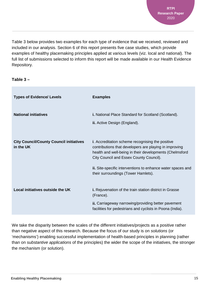Table 3 below provides two examples for each type of evidence that we received, reviewed and included in our analysis. Section 6 of this report presents five case studies, which provide examples of healthy placemaking principles applied at various levels (viz. local and national). The full list of submissions selected to inform this report will be made available in our Health Evidence Repository.

### **Table 3 –**

| <b>Types of Evidence/ Levels</b>                            | <b>Examples</b>                                                                                                                                                                                                         |
|-------------------------------------------------------------|-------------------------------------------------------------------------------------------------------------------------------------------------------------------------------------------------------------------------|
| <b>National initiatives</b>                                 | <b>i.</b> National Place Standard for Scotland (Scotland).<br>ii. Active Design (England).                                                                                                                              |
| <b>City Council/County Council initiatives</b><br>in the UK | <i>i.</i> Accreditation scheme recognising the positive<br>contributions that developers are playing in improving<br>health and well-being in their developments (Chelmsford<br>City Council and Essex County Council). |
|                                                             | ii. Site-specific interventions to enhance water spaces and<br>their surroundings (Tower Hamlets).                                                                                                                      |
| Local initiatives outside the UK                            | <b>i.</b> Rejuvenation of the train station district in Grasse<br>(France).                                                                                                                                             |
|                                                             | ii. Carriageway narrowing/providing better pavement<br>facilities for pedestrians and cyclists in Poona (India).                                                                                                        |

We take the disparity between the scales of the different initiatives/projects as a positive rather than negative aspect of this research. Because the focus of our study is on *solutions* (or 'mechanisms') enabling successful implementation of health-based principles in planning (rather than on *substantive applications* of the principles) the wider the scope of the initiatives, the stronger the mechanism (or solution).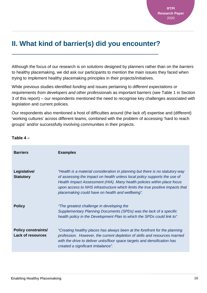## **II. What kind of barrier(s) did you encounter?**

Although the focus of our research is on *solutions* designed by planners rather than on the *barriers* to healthy placemaking, we did ask our participants to mention the main issues they faced when trying to implement healthy placemaking principles in their projects/initiatives.

While previous studies identified *funding* and issues pertaining to *different expectations or requirements from developers and other professionals* as important barriers (see Table 1 in Section 3 of this report) – our respondents mentioned the need to recognise key challenges associated with legislation and current policies.

Our respondents also mentioned a host of difficulties around (the lack of) expertise and (different) 'working cultures' across different teams, combined with the problem of accessing 'hard to reach groups' and/or successfully involving communities in their projects.

| <b>Barriers</b>                                        | <b>Examples</b>                                                                                                                                                                                                                                                                                                                                                            |
|--------------------------------------------------------|----------------------------------------------------------------------------------------------------------------------------------------------------------------------------------------------------------------------------------------------------------------------------------------------------------------------------------------------------------------------------|
| Legislative/<br><b>Statutory</b>                       | "Health is a material consideration in planning but there is no statutory way<br>of assessing the impact on health unless local policy supports the use of<br>Health Impact Assessment (HIA). Many health policies within place focus<br>upon access to NHS infrastructure which limits the true positive impacts that<br>placemaking could have on health and wellbeing". |
| <b>Policy</b>                                          | "The greatest challenge in developing the<br>Supplementary Planning Documents (SPDs) was the lack of a specific<br>health policy in the Development Plan to which the SPDs could link to".                                                                                                                                                                                 |
| <b>Policy constraints/</b><br><b>Lack of resources</b> | "Creating healthy places has always been at the forefront for the planning<br>profession. However, the current depletion of skills and resources married<br>with the drive to deliver units/floor space targets and densification has<br>created a significant imbalance".                                                                                                 |

### **Table 4 –**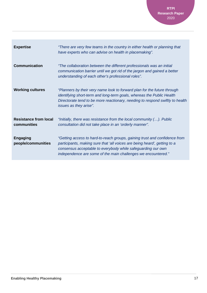**RTPI Research Paper** 2020

| <b>Expertise</b>                            | "There are very few teams in the country in either health or planning that<br>have experts who can advise on health in placemaking".                                                                                                                                                     |
|---------------------------------------------|------------------------------------------------------------------------------------------------------------------------------------------------------------------------------------------------------------------------------------------------------------------------------------------|
| <b>Communication</b>                        | "The collaboration between the different professionals was an initial<br>communication barrier until we got rid of the jargon and gained a better<br>understanding of each other's professional roles".                                                                                  |
| <b>Working cultures</b>                     | "Planners by their very name look to forward plan for the future through<br>identifying short-term and long-term goals, whereas the Public Health<br>Directorate tend to be more reactionary, needing to respond swiftly to health<br><i>issues as they arise".</i>                      |
| <b>Resistance from local</b><br>communities | "Initially, there was resistance from the local community $()$ . Public<br>consultation did not take place in an 'orderly manner".                                                                                                                                                       |
| <b>Engaging</b><br>people/communities       | "Getting access to hard-to-reach groups, gaining trust and confidence from<br>participants, making sure that 'all voices are being heard', getting to a<br>consensus acceptable to everybody while safeguarding our own<br>independence are some of the main challenges we encountered." |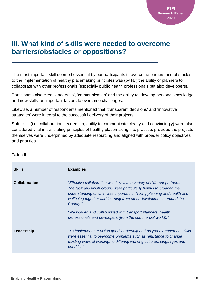### **III. What kind of skills were needed to overcome barriers/obstacles or oppositions?**

The most important skill deemed essential by our participants to overcome barriers and obstacles to the implementation of healthy placemaking principles was (by far) the ability of planners to collaborate with other professionals (especially public health professionals but also developers).

Participants also cited 'leadership', 'communication' and the ability to 'develop personal knowledge and new skills' as important factors to overcome challenges.

Likewise, a number of respondents mentioned that 'transparent decisions' and 'innovative strategies' were integral to the successful delivery of their projects.

Soft skills (i.e. collaboration, leadership, ability to communicate clearly and convincingly) were also considered vital in translating principles of healthy placemaking into practice, provided the projects themselves were underpinned by adequate resourcing and aligned with broader policy objectives and priorities.

### **Table 5 –**

| <b>Skills</b>        | <b>Examples</b>                                                                                                                                                                                                                                                                                           |
|----------------------|-----------------------------------------------------------------------------------------------------------------------------------------------------------------------------------------------------------------------------------------------------------------------------------------------------------|
| <b>Collaboration</b> | "Effective collaboration was key with a variety of different partners.<br>The task and finish groups were particularly helpful to broaden the<br>understanding of what was important in linking planning and health and<br>wellbeing together and learning from other developments around the<br>County." |
|                      | "We worked and collaborated with transport planners, health<br>professionals and developers (from the commercial world)."                                                                                                                                                                                 |
| Leadership           | "To implement our vision good leadership and project management skills<br>were essential to overcome problems such as reluctance to change<br>existing ways of working, to differing working cultures, languages and<br>priorities".                                                                      |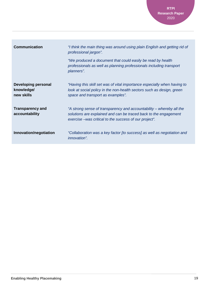**RTPI Research Paper** 2020

| <b>Communication</b>                                   | "I think the main thing was around using plain English and getting rid of<br>professional jargon".<br>"We produced a document that could easily be read by health<br>professionals as well as planning professionals including transport |
|--------------------------------------------------------|------------------------------------------------------------------------------------------------------------------------------------------------------------------------------------------------------------------------------------------|
|                                                        | planners".                                                                                                                                                                                                                               |
| <b>Developing personal</b><br>knowledge/<br>new skills | "Having this skill set was of vital importance especially when having to<br>look at social policy in the non-health sectors such as design, green<br>space and transport as examples".                                                   |
| <b>Transparency and</b><br>accountability              | "A strong sense of transparency and accountability – whereby all the<br>solutions are explained and can be traced back to the engagement<br>exercise – was critical to the success of our project".                                      |
| Innovation/negotiation                                 | "Collaboration was a key factor [to success] as well as negotiation and<br><i>innovation".</i>                                                                                                                                           |

п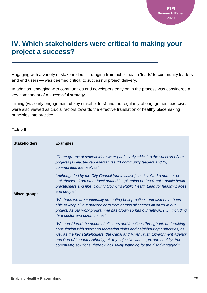### **IV. Which stakeholders were critical to making your project a success?**

Engaging with a variety of stakeholders — ranging from public health 'leads' to community leaders and end users — was deemed critical to successful project delivery.

In addition, engaging with communities and developers early on in the process was considered a key component of a successful strategy.

Timing (viz. early engagement of key stakeholders) and the regularity of engagement exercises were also viewed as crucial factors towards the effective translation of healthy placemaking principles into practice.

### **Table 6 –**

| <b>Stakeholders</b> | <b>Examples</b>                                                                                                                                                                                                                                                                                                                                                                                         |
|---------------------|---------------------------------------------------------------------------------------------------------------------------------------------------------------------------------------------------------------------------------------------------------------------------------------------------------------------------------------------------------------------------------------------------------|
|                     | "Three groups of stakeholders were particularly critical to the success of our<br>projects (1) elected representatives (2) community leaders and (3)<br>communities themselves".                                                                                                                                                                                                                        |
| <b>Mixed groups</b> | "Although led by the City Council [our initiative] has involved a number of<br>stakeholders from other local authorities planning professionals, public health<br>practitioners and [the] County Council's Public Health Lead for healthy places<br>and people".                                                                                                                                        |
|                     | "We hope we are continually promoting best practices and also have been<br>able to keep all our stakeholders from across all sectors involved in our<br>project. As our work programme has grown so has our network (), including<br>third sector and communities".                                                                                                                                     |
|                     | "We considered the needs of all users and functions throughout, undertaking<br>consultation with sport and recreation clubs and neighbouring authorities, as<br>well as the key stakeholders (the Canal and River Trust, Environment Agency<br>and Port of London Authority). A key objective was to provide healthy, free<br>commuting solutions, thereby inclusively planning for the disadvantaged." |
|                     |                                                                                                                                                                                                                                                                                                                                                                                                         |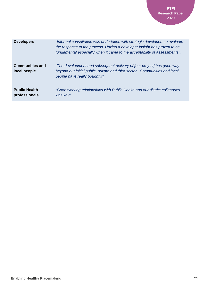**RTPI Research Paper** 2020

| <b>Developers</b>                      | "Informal consultation was undertaken with strategic developers to evaluate<br>the response to the process. Having a developer insight has proven to be<br>fundamental especially when it came to the acceptability of assessments". |
|----------------------------------------|--------------------------------------------------------------------------------------------------------------------------------------------------------------------------------------------------------------------------------------|
| <b>Communities and</b><br>local people | "The development and subsequent delivery of [our project] has gone way<br>beyond our initial public, private and third sector. Communities and local<br>people have really bought it".                                               |
| <b>Public Health</b><br>professionals  | "Good working relationships with Public Health and our district colleagues<br>was key".                                                                                                                                              |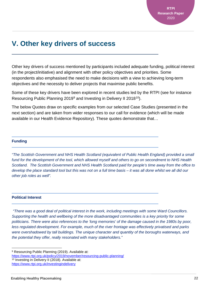### **V. Other key drivers of success**

Other key drivers of success mentioned by participants included adequate funding, political interest (in the project/initiative) and alignment with other policy objectives and priorities. Some respondents also emphasised the need to make decisions with a view to achieving long-term objectives and the necessity to deliver projects that maximise public benefits.

Some of these key drivers have been explored in recent studies led by the RTPI (see for instance Resourcing Public Planning 201[9](#page-21-0)<sup>9</sup> and Investing in Delivery II 2018<sup>[10](#page-21-1)</sup>).

The below Quotes draw on specific examples from our selected Case Studies (presented in the next section) and are taken from wider responses to our call for evidence (which will be made available in our Health Evidence Repository). These quotes demonstrate that…

#### **Funding**

*"The Scottish Government and NHS Health Scotland (equivalent of Public Health England) provided a small fund for the development of the tool, which allowed myself and others to go on secondment to NHS Health Scotland. The Scottish Government and NHS Health Scotland paid for people's time away from the office to develop the place standard tool but this was not on a full time basis – it was all done whilst we all did our other job roles as well".*

#### **Political Interest**

*"There was a good deal of political interest in the work, including meetings with some Ward Councillors. Supporting the health and wellbeing of the more disadvantaged communities is a key priority for some politicians. There were also references to the 'long memories' of the damage caused in the 1980s by poor, less regulated development. For example, much of the river frontage was effectively privatised and parks were overshadowed by tall buildings. The unique character and quantity of the boroughs waterways, and the potential they offer, really resonated with many stakeholders."*

<span id="page-21-1"></span><span id="page-21-0"></span><sup>9</sup> Resourcing Public Planning (2019). Available at: <https://www.rtpi.org.uk/policy/2019/november/resourcing-public-planning/> <sup>10</sup> Investing in Delivery II (2018). Available at: <https://www.rtpi.org.uk/investingindelivery>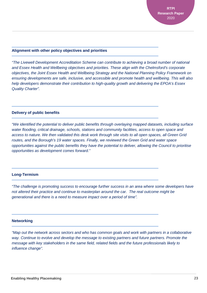#### **Alignment with other policy objectives and priorities**

*"The Livewell Development Accreditation Scheme can contribute to achieving a broad number of national and Essex Health and Wellbeing objectives and priorities. These align with the Chelmsford's corporate objectives, the Joint Essex Health and Wellbeing Strategy and the National Planning Policy Framework on ensuring developments are safe, inclusive, and accessible and promote health and wellbeing. This will also help developers demonstrate their contribution to high-quality growth and delivering the EPOA's Essex Quality Charter".*

#### **Delivery of public benefits**

*"We identified the potential to deliver public benefits through overlaying mapped datasets, including surface water flooding, critical drainage, schools, stations and community facilities, access to open space and access to nature. We then validated this desk work through site visits to all open spaces, all Green Grid routes, and the Borough's 19 water spaces. Finally, we reviewed the Green Grid and water space opportunities against the public benefits they have the potential to deliver, allowing the Council to prioritise opportunities as development comes forward."*

#### **Long-Termism**

*"The challenge is promoting success to encourage further success in an area where some developers have not altered their practice and continue to masterplan around the car. The real outcome might be generational and there is a need to measure impact over a period of time".* 

### **Networking**

*"Map out the network across sectors and who has common goals and work with partners in a collaborative way. Continue to evolve and develop the message to existing partners and future partners. Promote the message with key stakeholders in the same field, related fields and the future professionals likely to influence change".*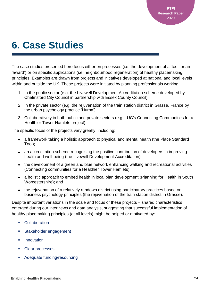## <span id="page-23-0"></span>**6. Case Studies**

The case studies presented here focus either on processes (i.e. the development of a 'tool' or an 'award') or on specific applications (i.e. neighbourhood regeneration) of healthy placemaking principles. Examples are drawn from projects and initiatives developed at national and local levels within and outside the UK. These projects were initiated by planning professionals working:

- 1. In the public sector (e.g. the Livewell Development Accreditation scheme developed by Chelmsford City Council in partnership with Essex County Council)
- 2. In the private sector (e.g. the rejuvenation of the train station district in Grasse, France by the urban psychology practice 'Hurba')
- 3. Collaboratively in both public and private sectors (e.g. LUC's Connecting Communities for a Healthier Tower Hamlets project).

The specific focus of the projects vary greatly, including:

- a framework taking a holistic approach to physical and mental health (the Place Standard Tool);
- an accreditation scheme recognising the positive contribution of developers in improving health and well-being (the Livewell Development Accreditation);
- the development of a green and blue network enhancing walking and recreational activities (Connecting communities for a Healthier Tower Hamlets);
- a holistic approach to embed health in local plan development (Planning for Health in South Worcestershire); and
- the rejuvenation of a relatively rundown district using participatory practices based on business psychology principles (the rejuvenation of the train station district in Grasse).

Despite important variations in the scale and focus of these projects – shared characteristics emerged during our interviews and data analysis, suggesting that successful implementation of healthy placemaking principles (at all levels) might be helped or motivated by:

- Collaboration
- Stakeholder engagement
- Innovation
- Clear processes
- Adequate funding/resourcing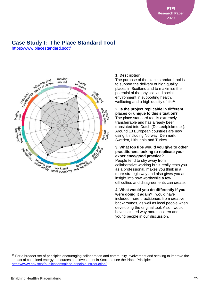**RTPI Research Paper** 2020

### **Case Study I: The Place Standard Tool**

<https://www.placestandard.scot/>



### **1. Description**

The purpose of the place standard tool is to support the delivery of high quality places in Scotland and to maximise the potential of the physical and social environment in supporting health, wellbeing and a high quality of life<sup>11</sup>.

#### **2. Is the project replicable in different places or unique to this situation?**

The place standard tool is extremely transferrable and has already been translated into Dutch (De Leefplekmeter). Around 13 European countries are now using it including Norway, Denmark, Sweden, Lithuania and Turkey.

#### **3. What top tips would you give to other practitioners looking to replicate your experience/good practice?**

People tend to shy away from collaborative working but it really tests you as a professional, makes you think in a more strategic way and also gives you an insight into how worthwhile a few difficulties and disagreements can create.

#### **4. What would you do differently if you were doing it again?** I would have included more practitioners from creative backgrounds, as well as local people when developing the original tool. Also I would have included way more children and young people in our discussion.

<span id="page-24-0"></span><sup>11</sup> For a broader set of principles encouraging collaboration and community involvement and seeking to improve the impact of combined energy, resources and investment in Scotland see the Place Principle: <https://www.gov.scot/publications/place-principle-introduction/>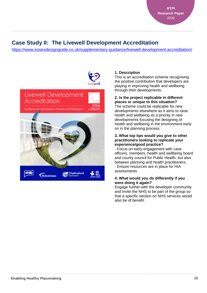### **Case Study II: The Livewell Development Accreditation**

<https://www.essexdesignguide.co.uk/supplementary-guidance/livewell-development-accreditation/>



### **1. Description**

This is an accreditation scheme recognising the positive contribution that developers are playing in improving health and wellbeing through their developments.

### **2. Is the project replicable in different places or unique to this situation?**

The scheme could be replicable for new developments elsewhere as it aims to raise health and wellbeing as a priority in new developments focusing the designing of health and wellbeing in the environment early on in the planning process.

### **3. What top tips would you give to other practitioners looking to replicate your experience/good practice?**

- Focus on early engagement with case officers, members, health and wellbeing board and county council for Public Health, but also between planning and health practitioners. - Ensure resources are in place for HIA assessments

### **4. What would you do differently if you were doing it again?**

Engage further with the developer community and invite the NHS to be part of the group so that a specific section on NHS services would also be of benefit.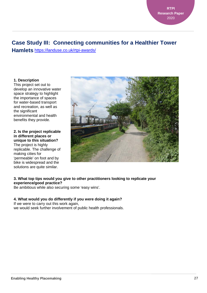### **Case Study III: Connecting communities for a Healthier Tower**

**Hamlets** <https://landuse.co.uk/rtpi-awards/>

**1. Description**

This project set out to develop an innovative water space strategy to highlight the importance of spaces for water-based transport and recreation, as well as the significant environmental and health benefits they provide.

**2. Is the project replicable in different places or unique to this situation?** The project is highly replicable. The challenge of making cities for 'permeable' on foot and by bike is widespread and the solutions are quite similar.



### **3. What top tips would you give to other practitioners looking to replicate your experience/good practice?**

Be ambitious while also securing some 'easy wins'.

### **4. What would you do differently if you were doing it again?**

If we were to carry out this work again, we would seek further involvement of public health professionals.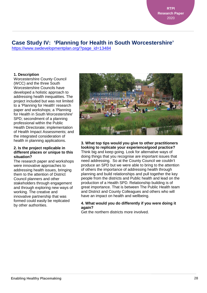### **Case Study IV: 'Planning for Health in South Worcestershire'**

[https://www.swdevelopmentplan.org/?page\\_id=13484](https://www.swdevelopmentplan.org/?page_id=13484)

### **1. Description**

Worcestershire County Council (WCC) and the three South Worcestershire Councils have developed a holistic approach to addressing health inequalities. The project included but was not limited to a 'Planning for Health' research paper and workshops; a 'Planning for Health in South Worcestershire' SPD; secondment of a planning professional within the Public Health Directorate; implementation of Health Impact Assessments; and the integrated consideration of health in planning applications.

#### **2. Is the project replicable in different places or unique to this situation?**

The research paper and workshops were innovative approaches to addressing health issues, bringing them to the attention of District Council planners and other stakeholders through engagement and through exploring new ways of working. The creative and innovative partnership that was formed could easily be replicated by other authorities.



#### **3. What top tips would you give to other practitioners looking to replicate your experience/good practice?**

Think big and keep going. Look for alternative ways of doing things that you recognise are important issues that need addressing. So at the County Council we couldn't produce an SPD but we were able to bring to the attention of others the importance of addressing health through planning and build relationships and pull together the key people from the districts and Public health and lead on the production of a Health SPD. Relationship building is of great importance. That is between The Public Health team and District and County Colleagues and others who will have an impact on health and wellbeing.

#### **4. What would you do differently if you were doing it again?**

Get the northern districts more involved.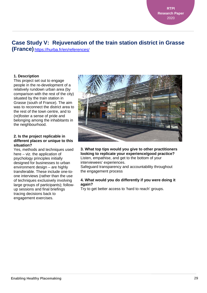## **Case Study V: Rejuvenation of the train station district in Grasse**

**(France)** <https://hurba.fr/en/references/>

### **1. Description**

This project set out to engage people in the re-development of a relatively rundown urban area (by comparison with the rest of the city) situated by the train station in Grasse (south of France). The aim was to reconnect the district area to the rest of the town centre, and to (re)foster a sense of pride and belonging among the inhabitants in the neighbourhood.

#### **2. Is the project replicable in different places or unique to this situation?**

Yes, methods and techniques used here – viz. the application of psychology principles initially designed for businesses to urban environment design – are highly transferable. These include one-toone interviews (rather than the use of techniques exclusively involving large groups of participants); followup sessions and final briefings tracing decisions back to engagement exercises.



#### **3. What top tips would you give to other practitioners looking to replicate your experience/good practice?**  Listen, empathise, and get to the bottom of your interviewees' experiences. Safeguard transparency and accountability throughout the engagement process

#### **4. What would you do differently if you were doing it again?**

Try to get better access to 'hard to reach' groups.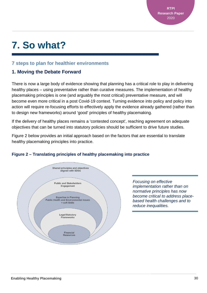## <span id="page-29-0"></span>**7. So what?**

### **7 steps to plan for healthier environments**

### **1. Moving the Debate Forward**

There is now a large body of evidence showing that planning has a critical role to play in delivering healthy places – using preventative rather than curative measures. The implementation of healthy placemaking principles is one (and arguably the most critical) preventative measure, and will become even more critical in a post Covid-19 context. Turning evidence into policy and policy into action will require re-focusing efforts to effectively apply the evidence already gathered (rather than to design new frameworks) around 'good' principles of healthy placemaking.

If the delivery of healthy places remains a 'contested concept', reaching agreement on adequate objectives that can be turned into statutory policies should be sufficient to drive future studies.

Figure 2 below provides an initial approach based on the factors that are essential to translate healthy placemaking principles into practice.



### **Figure 2 – Translating principles of healthy placemaking into practice**

*Focusing on effective implementation rather than on normative principles has now become critical to address placebased health challenges and to reduce inequalities.*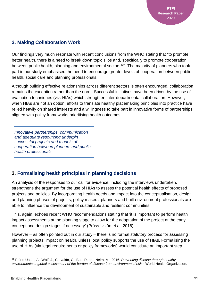### **2. Making Collaboration Work**

Our findings very much resonate with recent conclusions from the WHO stating that "to promote better health, there is a need to break down topic silos and, specifically to promote cooperation between public health, planning and environmental sectors<sup>12</sup>". The majority of planners who took part in our study emphasised the need to encourage greater levels of cooperation between public health, social care and planning professionals.

Although building effective relationships across different sectors is often encouraged, collaboration remains the exception rather than the norm. Successful initiatives have been driven by the use of evaluation techniques (viz. HIAs) which strengthen inter-departmental collaboration. However, when HIAs are not an option, efforts to translate healthy placemaking principles into practice have relied heavily on shared interests and a willingness to take part in innovative forms of partnerships aligned with policy frameworks prioritising health outcomes.

*Innovative partnerships, communication and adequate resourcing underpin successful projects and models of cooperation between planners and public health professionals.* 

### **3. Formalising health principles in planning decisions**

An analysis of the responses to our call for evidence, including the interviews undertaken, strengthens the argument for the use of HIAs to assess the potential health effects of proposed projects and policies. By incorporating health needs and impact into the conceptualisation, design and planning phases of projects, policy makers, planners and built environment professionals are able to influence the development of sustainable and resilient communities.

This, again, echoes recent WHO recommendations stating that 'it is important to perform health impact assessments at the planning stage to allow for the adaptation of the project at the early concept and design stages if necessary' (Prüss-Üstün et al. 2016).

However – as often pointed out in our study – there is no formal statutory process for assessing planning projects' impact on health, unless local policy supports the use of HIAs. Formalising the use of HIAs (via legal requirements or policy frameworks) would constitute an important step

<span id="page-30-0"></span><sup>12</sup> Prüss-Üstün, A., Wolf, J., Corvalán, C., Bos, R. and Neira, M., 2016. *Preventing disease through healthy environments: a global assessment of the burden of disease from environmental risks*. World Health Organization.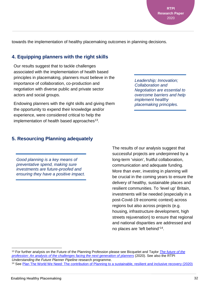**RTPI Research Paper** 2020

towards the implementation of healthy placemaking outcomes in planning decisions.

### **4. Equipping planners with the right skills**

Our results suggest that to tackle challenges associated with the implementation of health based principles in placemaking, planners must believe in the importance of collaboration, co-production and negotiation with diverse public and private sector actors and social groups.

Endowing planners with the right skills and giving them the opportunity to expend their knowledge and/or experience, were considered critical to help the implementation of health based approaches<sup>13</sup>.

### **5. Resourcing Planning adequately**

*Good planning is a key means of preventative spend, making sure investments are future-proofed and ensuring they have a positive impact.*  The results of our analysis suggest that successful projects are underpinned by a long-term 'vision', fruitful collaboration, communication and adequate funding. More than ever, investing in planning will be crucial in the coming years to ensure the delivery of healthy, sustainable places and resilient communities. To 'level up' Britain, investments will be needed (especially in a post-Covid-19 economic context) across regions but also across projects (e.g. housing, infrastructure development, high streets rejuvenation) to ensure that regional and national disparities are addressed and no places are 'left behind'[14](#page-31-1).

<span id="page-31-1"></span><span id="page-31-0"></span> <sup>13</sup> For further analysis on the Future of the Planning Profession please see Bicquelet and Taylor *[The future of the](https://www.henrystewartpublications.com/jurr/v13)  [profession: An analysis of the challenges facing the next generation of planners](https://www.henrystewartpublications.com/jurr/v13)* (2020). See also the RTPI *Understanding the Future Planner Pipeline* research programme. <sup>14</sup> See [Plan The World We Need: The contribution of Planning to a sustainable, resilient and inclusive recovery \(2020\)](https://www.rtpi.org.uk/research/2020/june/plan-the-world-we-need/)

*Leadership; Innovation; Collaboration and Negotiation are essential to overcome barriers and help implement healthy placemaking principles.*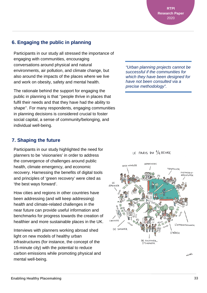**RTPI Research Paper** 2020

### **6. Engaging the public in planning**

Participants in our study all stressed the importance of engaging with communities, encouraging conversations around physical and natural environments, air pollution, and climate change, but also around the impacts of the places where we live and work on obesity, safety and mental health.

The rationale behind the support for engaging the public in planning is that ''people thrive in places that fulfil their needs and that they have had the ability to shape''. For many respondents, engaging communities in planning decisions is considered crucial to foster social capital, a sense of community/belonging, and individual well-being.

### **7. Shaping the future**

Participants in our study highlighted the need for planners to be 'visionaries' in order to address the convergence of challenges around public health, climate emergency, and economic recovery. Harnessing the benefits of digital tools and principles of 'green recovery' were cited as 'the best ways forward'.

How cities and regions in other countries have been addressing (and will keep addressing) health and climate-related challenges in the near future can provide useful information and benchmarks for progress towards the creation of healthier and more sustainable places in the UK.

Interviews with planners working abroad shed light on new models of healthy urban infrastructures (for instance, the concept of the 15-minute city) with the potential to reduce carbon emissions while promoting physical and mental well-being.

*"Urban planning projects cannot be successful if the communities for which they have been designed for have not been consulted via a precise methodology".*

### LE PARIS DU 1/4 HEURE



MICAEL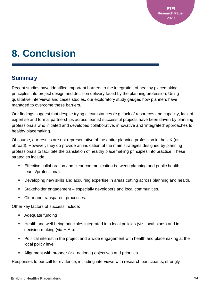## <span id="page-33-0"></span>**8. Conclusion**

### **Summary**

Recent studies have identified important barriers to the integration of healthy placemaking principles into project design and decision delivery faced by the planning profession. Using qualitative interviews and cases studies, our exploratory study gauges how planners have managed to overcome these barriers.

Our findings suggest that despite trying circumstances (e.g. lack of resources and capacity, lack of expertise and formal partnerships across teams) successful projects have been driven by planning professionals who initiated and developed collaborative, innovative and 'integrated' approaches to healthy placemaking.

Of course, our results are not representative of the entire planning profession in the UK (or abroad). However, they do provide an indication of the main strategies designed by planning professionals to facilitate the translation of healthy placemaking principles into practice. These strategies include:

- Effective collaboration and clear communication between planning and public health teams/professionals.
- Developing new skills and acquiring expertise in areas cutting across planning and health.
- Stakeholder engagement especially developers and local communities.
- Clear and transparent processes.

Other key factors of success include:

- Adequate funding
- **Health and well-being principles integrated into local policies (viz. local plans) and in** decision-making (via HIAs).
- Political interest in the project and a wide engagement with health and placemaking at the local policy level.
- Alignment with broader (viz. national) objectives and priorities.

Responses to our call for evidence, including interviews with research participants, strongly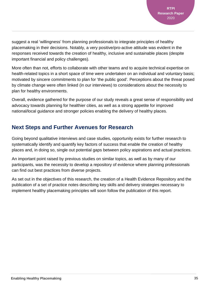suggest a real 'willingness' from planning professionals to integrate principles of healthy placemaking in their decisions. Notably, a very positive/pro-active attitude was evident in the responses received towards the creation of healthy, inclusive and sustainable places (despite important financial and policy challenges).

More often than not, efforts to collaborate with other teams and to acquire technical expertise on health-related topics in a short space of time were undertaken on an individual and voluntary basis; motivated by sincere commitments to plan for 'the public good'. Perceptions about the threat posed by climate change were often linked (in our interviews) to considerations about the necessity to plan for healthy environments.

Overall, evidence gathered for the purpose of our study reveals a great sense of responsibility and advocacy towards planning for healthier cities, as well as a strong appetite for improved national/local guidance and stronger policies enabling the delivery of healthy places.

### **Next Steps and Further Avenues for Research**

Going beyond qualitative interviews and case studies, opportunity exists for further research to systematically identify and quantify key factors of success that enable the creation of healthy places and, in doing so, single out potential gaps between policy aspirations and actual practices.

An important point raised by previous studies on similar topics, as well as by many of our participants, was the necessity to develop a repository of evidence where planning professionals can find out best practices from diverse projects.

As set out in the objectives of this research, the creation of a Health Evidence Repository and the publication of a set of practice notes describing key skills and delivery strategies necessary to implement healthy placemaking principles will soon follow the publication of this report.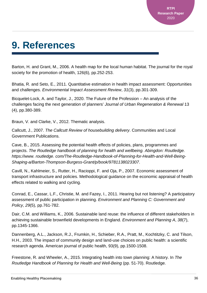## <span id="page-35-0"></span>**9. References**

Barton, H. and Grant, M., 2006. A health map for the local human habitat. The journal for the royal society for the promotion of health, 126(6), pp.252-253.

Bhatia, R. and Seto, E., 2011. Quantitative estimation in health impact assessment: Opportunities and challenges. *Environmental Impact Assessment Review*, *31*(3), pp.301-309.

Bicquelet-Lock, A. and Taylor, J., 2020. The Future of the Profession – An analysis of the challenges facing the next generation of planners' *Journal of Urban Regeneration & Renewal* 13 (4), pp.380-389.

Braun, V. and Clarke, V., 2012. Thematic analysis.

Callcutt, J., 2007. *The Callcutt Review of housebuilding delivery*. Communities and Local Government Publications.

Cave, B., 2015. Assessing the potential health effects of policies, plans, programmes and projects. *The Routledge handbook of planning for health and wellbeing. Abingdon: Routledge. https://www. routledge. com/The-Routledge-Handbook-of-Planning-for-Health-and-Well-Being-Shaping-a/Barton-Thompson-Burgess-Grant/p/book/9781138023307*.

Cavill, N., Kahlmeier, S., Rutter, H., Racioppi, F. and Oja, P., 2007. Economic assessment of transport infrastructure and policies. Methodological guidance on the economic appraisal of health effects related to walking and cycling.

Conrad, E., Cassar, L.F., Christie, M. and Fazey, I., 2011. Hearing but not listening? A participatory assessment of public participation in planning. *Environment and Planning C: Government and Policy*, *29*(5), pp.761-782.

Dair, C.M. and Williams, K., 2006. Sustainable land reuse: the influence of different stakeholders in achieving sustainable brownfield developments in England. *Environment and Planning A*, *38*(7), pp.1345-1366.

Dannenberg, A.L., Jackson, R.J., Frumkin, H., Schieber, R.A., Pratt, M., Kochtitzky, C. and Tilson, H.H., 2003. The impact of community design and land-use choices on public health: a scientific research agenda. American journal of public health, 93(9), pp.1500-1508.

Freestone, R. and Wheeler, A., 2015. Integrating health into town planning: A history. In *The Routledge Handbook of Planning for Health and Well-Being* (pp. 51-70). Routledge.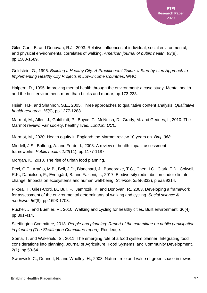Giles-Corti, B. and Donovan, R.J., 2003. Relative influences of individual, social environmental, and physical environmental correlates of walking. *American journal of public health*, *93*(9), pp.1583-1589.

Goldstein, G., 1995. *Building a Healthy City: A Practitioners' Guide: a Step-by-step Approach to Implementing Healthy City Projects in Low-income Countries*. WHO.

Halpern, D., 1995. Improving mental health through the environment: a case study. Mental health and the built environment: more than bricks and mortar, pp.173-233.

Hsieh, H.F. and Shannon, S.E., 2005. Three approaches to qualitative content analysis. *Qualitative health research*, *15*(9), pp.1277-1288.

Marmot, M., Allen, J., Goldblatt, P., Boyce, T., McNeish, D., Grady, M. and Geddes, I., 2010. The Marmot review: Fair society, healthy lives. *London: UCL*.

Marmot, M., 2020. Health equity in England: the Marmot review 10 years on. *Bmj*, *368*.

Mindell, J.S., Boltong, A. and Forde, I., 2008. A review of health impact assessment frameworks. *Public health*, *122*(11), pp.1177-1187.

Morgan, K., 2013. The rise of urban food planning.

Pecl, G.T., Araújo, M.B., Bell, J.D., Blanchard, J., Bonebrake, T.C., Chen, I.C., Clark, T.D., Colwell, R.K., Danielsen, F., Evengård, B. and Falconi, L., 2017. Biodiversity redistribution under climate change: Impacts on ecosystems and human well-being. *Science*, *355*(6332), p.eaai9214.

Pikora, T., Giles-Corti, B., Bull, F., Jamrozik, K. and Donovan, R., 2003. Developing a framework for assessment of the environmental determinants of walking and cycling. *Social science & medicine*, *56*(8), pp.1693-1703.

Pucher, J. and Buehler, R., 2010. Walking and cycling for healthy cities. Built environment, 36(4), pp.391-414.

Skeffington Committee, 2013. *People and planning: Report of the committee on public participation in planning (The Skeffington Committee report)*. Routledge.

Soma, T. and Wakefield, S., 2011. The emerging role of a food system planner: Integrating food considerations into planning. Journal of Agriculture, Food Systems, and Community Development, 2(1), pp.53-64.

Swanwick, C., Dunnett, N. and Woolley, H., 2003. Nature, role and value of green space in towns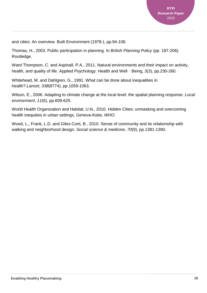and cities: An overview. Built Environment (1978-), pp.94-106.

Thomas, H., 2003. Public participation in planning. In *British Planning Policy* (pp. 187-206). Routledge.

Ward Thompson, C. and Aspinall, P.A., 2011. Natural environments and their impact on activity, health, and quality of life. Applied Psychology: Health and Well - Being, 3(3), pp.230-260.

Whitehead, M. and Dahlgren, G., 1991. What can be done about inequalities in health?.*Lancet*, *338*(8774), pp.1059-1063.

Wilson, E., 2006. Adapting to climate change at the local level: the spatial planning response. *Local environment*, *11*(6), pp.609-625.

World Health Organization and Habitat, U.N., 2010. Hidden Cities: unmasking and overcoming health inequities in urban settings. *Geneva-Kobe, WHO*.

Wood, L., Frank, L.D. and Giles-Corti, B., 2010. Sense of community and its relationship with walking and neighborhood design. *Social science & medicine*, *70*(9), pp.1381-1390.